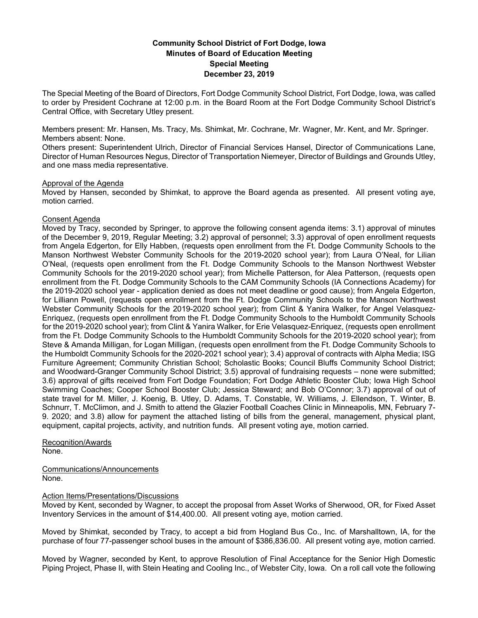# **Community School District of Fort Dodge, Iowa Minutes of Board of Education Meeting Special Meeting December 23, 2019**

The Special Meeting of the Board of Directors, Fort Dodge Community School District, Fort Dodge, Iowa, was called to order by President Cochrane at 12:00 p.m. in the Board Room at the Fort Dodge Community School District's Central Office, with Secretary Utley present.

Members present: Mr. Hansen, Ms. Tracy, Ms. Shimkat, Mr. Cochrane, Mr. Wagner, Mr. Kent, and Mr. Springer. Members absent: None.

Others present: Superintendent Ulrich, Director of Financial Services Hansel, Director of Communications Lane, Director of Human Resources Negus, Director of Transportation Niemeyer, Director of Buildings and Grounds Utley, and one mass media representative.

### Approval of the Agenda

Moved by Hansen, seconded by Shimkat, to approve the Board agenda as presented. All present voting aye, motion carried.

## Consent Agenda

Moved by Tracy, seconded by Springer, to approve the following consent agenda items: 3.1) approval of minutes of the December 9, 2019, Regular Meeting; 3.2) approval of personnel; 3.3) approval of open enrollment requests from Angela Edgerton, for Elly Habben, (requests open enrollment from the Ft. Dodge Community Schools to the Manson Northwest Webster Community Schools for the 2019-2020 school year); from Laura O'Neal, for Lilian O'Neal, (requests open enrollment from the Ft. Dodge Community Schools to the Manson Northwest Webster Community Schools for the 2019-2020 school year); from Michelle Patterson, for Alea Patterson, (requests open enrollment from the Ft. Dodge Community Schools to the CAM Community Schools (IA Connections Academy) for the 2019-2020 school year - application denied as does not meet deadline or good cause); from Angela Edgerton, for Lilliann Powell, (requests open enrollment from the Ft. Dodge Community Schools to the Manson Northwest Webster Community Schools for the 2019-2020 school year); from Clint & Yanira Walker, for Angel Velasquez-Enriquez, (requests open enrollment from the Ft. Dodge Community Schools to the Humboldt Community Schools for the 2019-2020 school year); from Clint & Yanira Walker, for Erie Velasquez-Enriquez, (requests open enrollment from the Ft. Dodge Community Schools to the Humboldt Community Schools for the 2019-2020 school year); from Steve & Amanda Milligan, for Logan Milligan, (requests open enrollment from the Ft. Dodge Community Schools to the Humboldt Community Schools for the 2020-2021 school year); 3.4) approval of contracts with Alpha Media; ISG Furniture Agreement; Community Christian School; Scholastic Books; Council Bluffs Community School District; and Woodward-Granger Community School District; 3.5) approval of fundraising requests – none were submitted; 3.6) approval of gifts received from Fort Dodge Foundation; Fort Dodge Athletic Booster Club; Iowa High School Swimming Coaches; Cooper School Booster Club; Jessica Steward; and Bob O'Connor; 3.7) approval of out of state travel for M. Miller, J. Koenig, B. Utley, D. Adams, T. Constable, W. Williams, J. Ellendson, T. Winter, B. Schnurr, T. McClimon, and J. Smith to attend the Glazier Football Coaches Clinic in Minneapolis, MN, February 7- 9. 2020; and 3.8) allow for payment the attached listing of bills from the general, management, physical plant, equipment, capital projects, activity, and nutrition funds. All present voting aye, motion carried.

Recognition/Awards None.

Communications/Announcements None.

## Action Items/Presentations/Discussions

Moved by Kent, seconded by Wagner, to accept the proposal from Asset Works of Sherwood, OR, for Fixed Asset Inventory Services in the amount of \$14,400.00. All present voting aye, motion carried.

Moved by Shimkat, seconded by Tracy, to accept a bid from Hogland Bus Co., Inc. of Marshalltown, IA, for the purchase of four 77-passenger school buses in the amount of \$386,836.00. All present voting aye, motion carried.

Moved by Wagner, seconded by Kent, to approve Resolution of Final Acceptance for the Senior High Domestic Piping Project, Phase II, with Stein Heating and Cooling Inc., of Webster City, Iowa. On a roll call vote the following